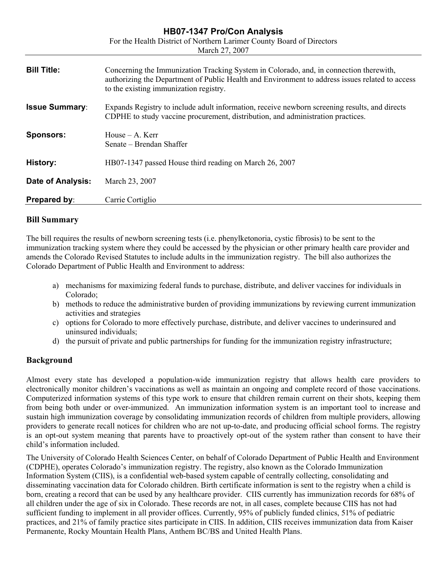# For the Health District of Northern Larimer County Board of Directors March 27, 2007 **Bill Title:** Concerning the Immunization Tracking System in Colorado, and, in connection therewith, authorizing the Department of Public Health and Environment to address issues related to access to the existing immunization registry. **Issue Summary:** Expands Registry to include adult information, receive newborn screening results, and directs CDPHE to study vaccine procurement, distribution, and administration practices. **Sponsors:** House – A. Kerr Senate – Brendan Shaffer **History:** HB07-1347 passed House third reading on March 26, 2007 **Date of Analysis:** March 23, 2007 **Prepared by:** Carrie Cortiglio

**HB07-1347 Pro/Con Analysis** 

## **Bill Summary**

The bill requires the results of newborn screening tests (i.e. phenylketonoria, cystic fibrosis) to be sent to the immunization tracking system where they could be accessed by the physician or other primary health care provider and amends the Colorado Revised Statutes to include adults in the immunization registry. The bill also authorizes the Colorado Department of Public Health and Environment to address:

- a) mechanisms for maximizing federal funds to purchase, distribute, and deliver vaccines for individuals in Colorado;
- b) methods to reduce the administrative burden of providing immunizations by reviewing current immunization activities and strategies
- c) options for Colorado to more effectively purchase, distribute, and deliver vaccines to underinsured and uninsured individuals;
- d) the pursuit of private and public partnerships for funding for the immunization registry infrastructure;

## **Background**

Almost every state has developed a population-wide immunization registry that allows health care providers to electronically monitor children's vaccinations as well as maintain an ongoing and complete record of those vaccinations. Computerized information systems of this type work to ensure that children remain current on their shots, keeping them from being both under or over-immunized. An immunization information system is an important tool to increase and sustain high immunization coverage by consolidating immunization records of children from multiple providers, allowing providers to generate recall notices for children who are not up-to-date, and producing official school forms. The registry is an opt-out system meaning that parents have to proactively opt-out of the system rather than consent to have their child's information included.

The University of Colorado Health Sciences Center, on behalf of Colorado Department of Public Health and Environment (CDPHE), operates Colorado's immunization registry. The registry, also known as the Colorado Immunization Information System (CIIS), is a confidential web-based system capable of centrally collecting, consolidating and disseminating vaccination data for Colorado children. Birth certificate information is sent to the registry when a child is born, creating a record that can be used by any healthcare provider. CIIS currently has immunization records for 68% of all children under the age of six in Colorado. These records are not, in all cases, complete because CIIS has not had sufficient funding to implement in all provider offices. Currently, 95% of publicly funded clinics, 51% of pediatric practices, and 21% of family practice sites participate in CIIS. In addition, CIIS receives immunization data from Kaiser Permanente, Rocky Mountain Health Plans, Anthem BC/BS and United Health Plans.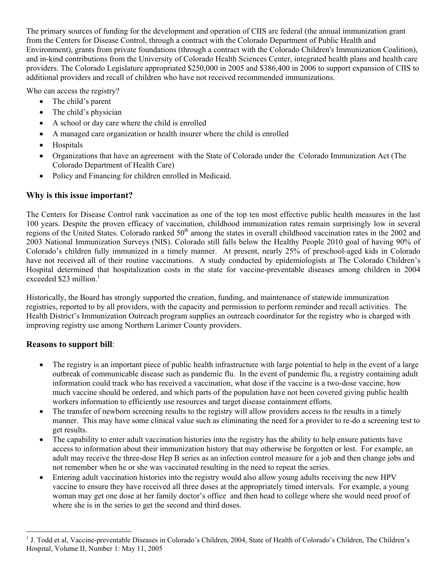The primary sources of funding for the development and operation of CIIS are federal (the annual immunization grant from the Centers for Disease Control, through a contract with the Colorado Department of Public Health and Environment), grants from private foundations (through a contract with the Colorado Children's Immunization Coalition), and in-kind contributions from the University of Colorado Health Sciences Center, integrated health plans and health care providers. The Colorado Legislature appropriated \$250,000 in 2005 and \$386,400 in 2006 to support expansion of CIIS to additional providers and recall of children who have not received recommended immunizations.

Who can access the registry?

- $\bullet$  The child's parent
- The child's physician
- A school or day care where the child is enrolled
- A managed care organization or health insurer where the child is enrolled
- Hospitals
- Organizations that have an agreement with the State of Colorado under the Colorado Immunization Act (The Colorado Department of Health Care)
- Policy and Financing for children enrolled in Medicaid.

## **Why is this issue important?**

The Centers for Disease Control rank vaccination as one of the top ten most effective public health measures in the last 100 years. Despite the proven efficacy of vaccination, childhood immunization rates remain surprisingly low in several regions of the United States. Colorado ranked  $50<sup>th</sup>$  among the states in overall childhood vaccination rates in the 2002 and 2003 National Immunization Surveys (NIS). Colorado still falls below the Healthy People 2010 goal of having 90% of Colorado's children fully immunized in a timely manner. At present, nearly 25% of preschool-aged kids in Colorado have not received all of their routine vaccinations. A study conducted by epidemiologists at The Colorado Children's Hospital determined that hospitalization costs in the state for vaccine-preventable diseases among children in 2004 exceeded \$23 million. $<sup>1</sup>$  $<sup>1</sup>$  $<sup>1</sup>$ </sup>

Historically, the Board has strongly supported the creation, funding, and maintenance of statewide immunization registries, reported to by all providers, with the capacity and permission to perform reminder and recall activities. The Health District's Immunization Outreach program supplies an outreach coordinator for the registry who is charged with improving registry use among Northern Larimer County providers.

## **Reasons to support bill**:

 $\overline{a}$ 

- The registry is an important piece of public health infrastructure with large potential to help in the event of a large outbreak of communicable disease such as pandemic flu. In the event of pandemic flu, a registry containing adult information could track who has received a vaccination, what dose if the vaccine is a two-dose vaccine, how much vaccine should be ordered, and which parts of the population have not been covered giving public health workers information to efficiently use resources and target disease containment efforts.
- The transfer of newborn screening results to the registry will allow providers access to the results in a timely manner. This may have some clinical value such as eliminating the need for a provider to re-do a screening test to get results.
- The capability to enter adult vaccination histories into the registry has the ability to help ensure patients have access to information about their immunization history that may otherwise be forgotten or lost. For example, an adult may receive the three-dose Hep B series as an infection control measure for a job and then change jobs and not remember when he or she was vaccinated resulting in the need to repeat the series.
- Entering adult vaccination histories into the registry would also allow young adults receiving the new HPV vaccine to ensure they have received all three doses at the appropriately timed intervals. For example, a young woman may get one dose at her family doctor's office and then head to college where she would need proof of where she is in the series to get the second and third doses.

<span id="page-1-0"></span><sup>&</sup>lt;sup>1</sup> J. Todd et al, Vaccine-preventable Diseases in Colorado's Children, 2004, State of Health of Colorado's Children, The Children's Hospital, Volume II, Number 1: May 11, 2005